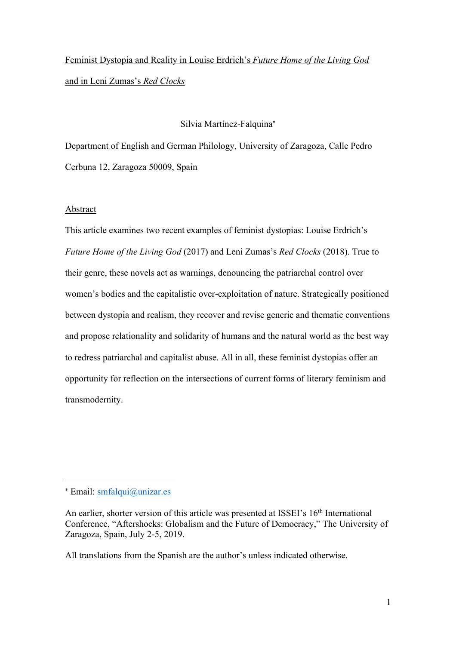# Feminist Dystopia and Reality in Louise Erdrich's *Future Home of the Living God* and in Leni Zumas's *Red Clocks*

## Silvia Martínez-Falquina\*

Department of English and German Philology, University of Zaragoza, Calle Pedro Cerbuna 12, Zaragoza 50009, Spain

### Abstract

This article examines two recent examples of feminist dystopias: Louise Erdrich's *Future Home of the Living God* (2017) and Leni Zumas's *Red Clocks* (2018). True to their genre, these novels act as warnings, denouncing the patriarchal control over women's bodies and the capitalistic over-exploitation of nature. Strategically positioned between dystopia and realism, they recover and revise generic and thematic conventions and propose relationality and solidarity of humans and the natural world as the best way to redress patriarchal and capitalist abuse. All in all, these feminist dystopias offer an opportunity for reflection on the intersections of current forms of literary feminism and transmodernity.

All translations from the Spanish are the author's unless indicated otherwise.

<sup>\*</sup> Email: smfalqui@unizar.es

An earlier, shorter version of this article was presented at ISSEI's 16<sup>th</sup> International Conference, "Aftershocks: Globalism and the Future of Democracy," The University of Zaragoza, Spain, July 2-5, 2019.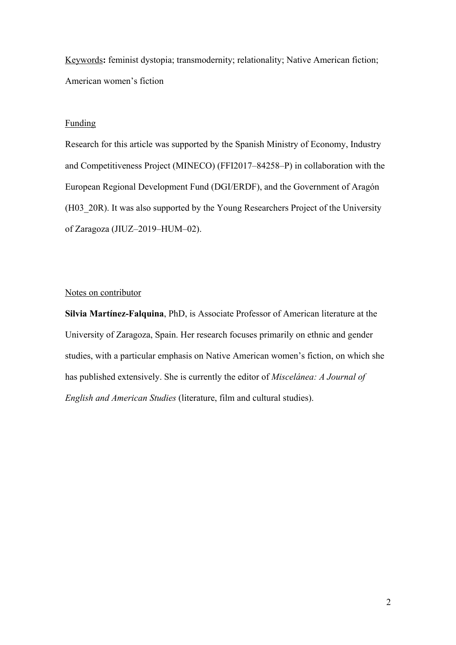Keywords**:** feminist dystopia; transmodernity; relationality; Native American fiction; American women's fiction

# Funding

Research for this article was supported by the Spanish Ministry of Economy, Industry and Competitiveness Project (MINECO) (FFI2017‒84258‒P) in collaboration with the European Regional Development Fund (DGI/ERDF), and the Government of Aragón (H03\_20R). It was also supported by the Young Researchers Project of the University of Zaragoza (JIUZ-2019-HUM-02).

### Notes on contributor

**Silvia Martínez-Falquina**, PhD, is Associate Professor of American literature at the University of Zaragoza, Spain. Her research focuses primarily on ethnic and gender studies, with a particular emphasis on Native American women's fiction, on which she has published extensively. She is currently the editor of *Miscelánea: A Journal of English and American Studies* (literature, film and cultural studies).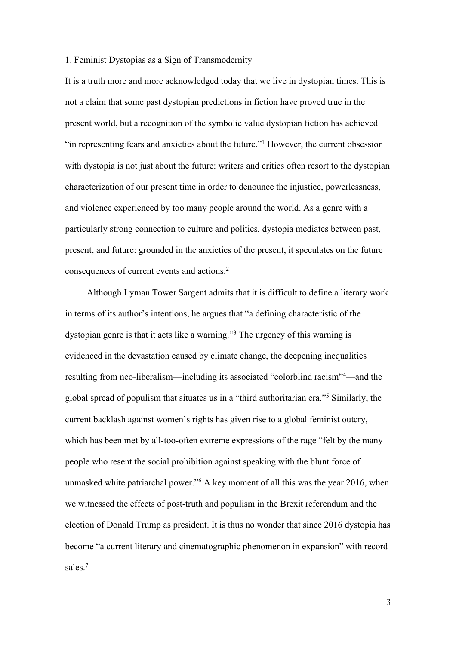#### 1. Feminist Dystopias as a Sign of Transmodernity

It is a truth more and more acknowledged today that we live in dystopian times. This is not a claim that some past dystopian predictions in fiction have proved true in the present world, but a recognition of the symbolic value dystopian fiction has achieved "in representing fears and anxieties about the future."1 However, the current obsession with dystopia is not just about the future: writers and critics often resort to the dystopian characterization of our present time in order to denounce the injustice, powerlessness, and violence experienced by too many people around the world. As a genre with a particularly strong connection to culture and politics, dystopia mediates between past, present, and future: grounded in the anxieties of the present, it speculates on the future consequences of current events and actions. 2

Although Lyman Tower Sargent admits that it is difficult to define a literary work in terms of its author's intentions, he argues that "a defining characteristic of the dystopian genre is that it acts like a warning."3 The urgency of this warning is evidenced in the devastation caused by climate change, the deepening inequalities resulting from neo-liberalism—including its associated "colorblind racism"<sup>4</sup>—and the global spread of populism that situates us in a "third authoritarian era."5 Similarly, the current backlash against women's rights has given rise to a global feminist outcry, which has been met by all-too-often extreme expressions of the rage "felt by the many people who resent the social prohibition against speaking with the blunt force of unmasked white patriarchal power."6 A key moment of all this was the year 2016, when we witnessed the effects of post-truth and populism in the Brexit referendum and the election of Donald Trump as president. It is thus no wonder that since 2016 dystopia has become "a current literary and cinematographic phenomenon in expansion" with record sales. 7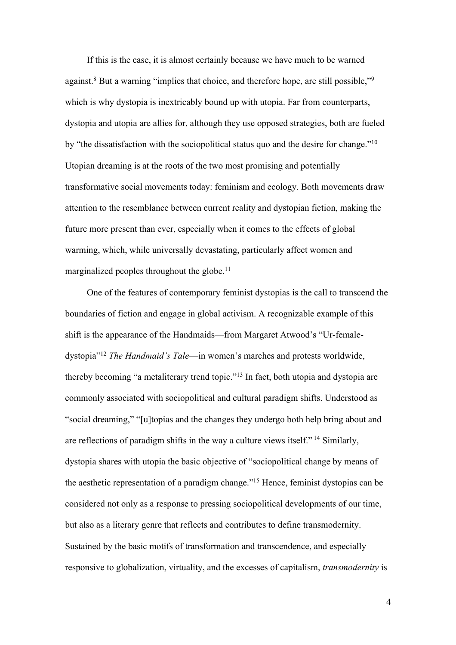If this is the case, it is almost certainly because we have much to be warned against.<sup>8</sup> But a warning "implies that choice, and therefore hope, are still possible,"<sup>9</sup> which is why dystopia is inextricably bound up with utopia. Far from counterparts, dystopia and utopia are allies for, although they use opposed strategies, both are fueled by "the dissatisfaction with the sociopolitical status quo and the desire for change."10 Utopian dreaming is at the roots of the two most promising and potentially transformative social movements today: feminism and ecology. Both movements draw attention to the resemblance between current reality and dystopian fiction, making the future more present than ever, especially when it comes to the effects of global warming, which, while universally devastating, particularly affect women and marginalized peoples throughout the globe.<sup>11</sup>

One of the features of contemporary feminist dystopias is the call to transcend the boundaries of fiction and engage in global activism. A recognizable example of this shift is the appearance of the Handmaids—from Margaret Atwood's "Ur-femaledystopia"12 *The Handmaid's Tale*—in women's marches and protests worldwide, thereby becoming "a metaliterary trend topic."13 In fact, both utopia and dystopia are commonly associated with sociopolitical and cultural paradigm shifts. Understood as "social dreaming," "[u]topias and the changes they undergo both help bring about and are reflections of paradigm shifts in the way a culture views itself."<sup>14</sup> Similarly, dystopia shares with utopia the basic objective of "sociopolitical change by means of the aesthetic representation of a paradigm change."15 Hence, feminist dystopias can be considered not only as a response to pressing sociopolitical developments of our time, but also as a literary genre that reflects and contributes to define transmodernity. Sustained by the basic motifs of transformation and transcendence, and especially responsive to globalization, virtuality, and the excesses of capitalism, *transmodernity* is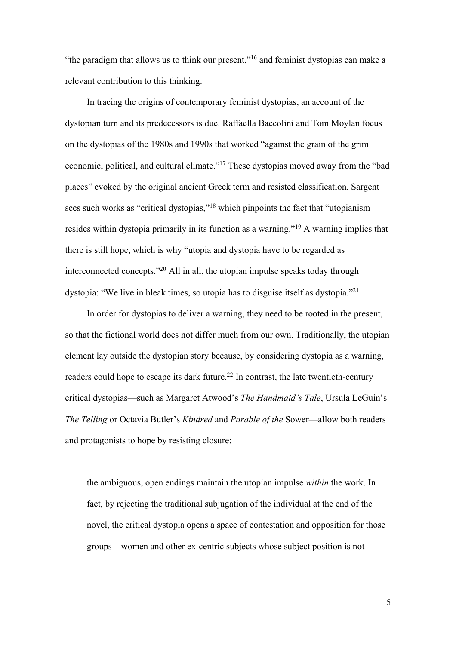"the paradigm that allows us to think our present,"<sup>16</sup> and feminist dystopias can make a relevant contribution to this thinking.

In tracing the origins of contemporary feminist dystopias, an account of the dystopian turn and its predecessors is due. Raffaella Baccolini and Tom Moylan focus on the dystopias of the 1980s and 1990s that worked "against the grain of the grim economic, political, and cultural climate."<sup>17</sup> These dystopias moved away from the "bad places" evoked by the original ancient Greek term and resisted classification. Sargent sees such works as "critical dystopias,"<sup>18</sup> which pinpoints the fact that "utopianism" resides within dystopia primarily in its function as a warning."19 A warning implies that there is still hope, which is why "utopia and dystopia have to be regarded as interconnected concepts."20 All in all, the utopian impulse speaks today through dystopia: "We live in bleak times, so utopia has to disguise itself as dystopia."21

In order for dystopias to deliver a warning, they need to be rooted in the present, so that the fictional world does not differ much from our own. Traditionally, the utopian element lay outside the dystopian story because, by considering dystopia as a warning, readers could hope to escape its dark future.<sup>22</sup> In contrast, the late twentieth-century critical dystopias—such as Margaret Atwood's *The Handmaid's Tale*, Ursula LeGuin's *The Telling* or Octavia Butler's *Kindred* and *Parable of the* Sower—allow both readers and protagonists to hope by resisting closure:

the ambiguous, open endings maintain the utopian impulse *within* the work. In fact, by rejecting the traditional subjugation of the individual at the end of the novel, the critical dystopia opens a space of contestation and opposition for those groups—women and other ex-centric subjects whose subject position is not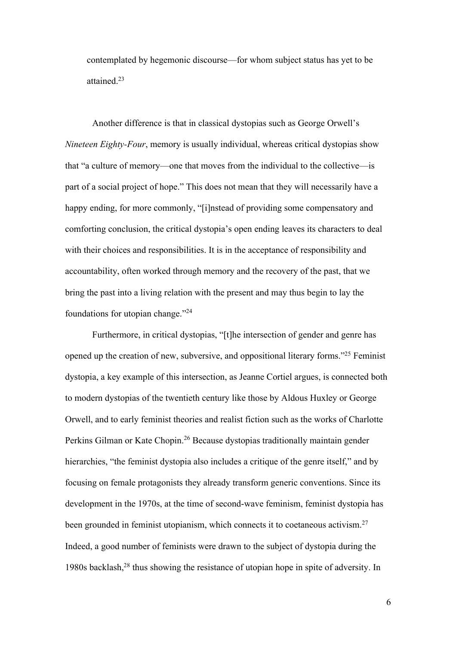contemplated by hegemonic discourse—for whom subject status has yet to be attained.23

Another difference is that in classical dystopias such as George Orwell's *Nineteen Eighty-Four*, memory is usually individual, whereas critical dystopias show that "a culture of memory—one that moves from the individual to the collective—is part of a social project of hope." This does not mean that they will necessarily have a happy ending, for more commonly, "[i]nstead of providing some compensatory and comforting conclusion, the critical dystopia's open ending leaves its characters to deal with their choices and responsibilities. It is in the acceptance of responsibility and accountability, often worked through memory and the recovery of the past, that we bring the past into a living relation with the present and may thus begin to lay the foundations for utopian change."24

Furthermore, in critical dystopias, "[t]he intersection of gender and genre has opened up the creation of new, subversive, and oppositional literary forms."25 Feminist dystopia, a key example of this intersection, as Jeanne Cortiel argues, is connected both to modern dystopias of the twentieth century like those by Aldous Huxley or George Orwell, and to early feminist theories and realist fiction such as the works of Charlotte Perkins Gilman or Kate Chopin.<sup>26</sup> Because dystopias traditionally maintain gender hierarchies, "the feminist dystopia also includes a critique of the genre itself," and by focusing on female protagonists they already transform generic conventions. Since its development in the 1970s, at the time of second-wave feminism, feminist dystopia has been grounded in feminist utopianism, which connects it to coetaneous activism.<sup>27</sup> Indeed, a good number of feminists were drawn to the subject of dystopia during the 1980s backlash,<sup>28</sup> thus showing the resistance of utopian hope in spite of adversity. In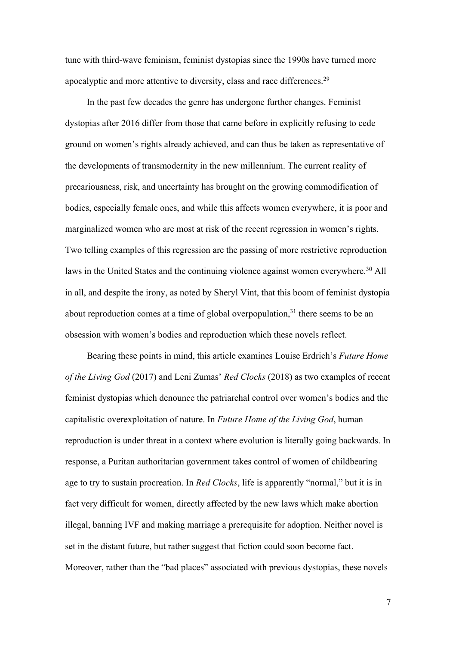tune with third-wave feminism, feminist dystopias since the 1990s have turned more apocalyptic and more attentive to diversity, class and race differences.<sup>29</sup>

In the past few decades the genre has undergone further changes. Feminist dystopias after 2016 differ from those that came before in explicitly refusing to cede ground on women's rights already achieved, and can thus be taken as representative of the developments of transmodernity in the new millennium. The current reality of precariousness, risk, and uncertainty has brought on the growing commodification of bodies, especially female ones, and while this affects women everywhere, it is poor and marginalized women who are most at risk of the recent regression in women's rights. Two telling examples of this regression are the passing of more restrictive reproduction laws in the United States and the continuing violence against women everywhere.<sup>30</sup> All in all, and despite the irony, as noted by Sheryl Vint, that this boom of feminist dystopia about reproduction comes at a time of global overpopulation, $31$  there seems to be an obsession with women's bodies and reproduction which these novels reflect.

Bearing these points in mind, this article examines Louise Erdrich's *Future Home of the Living God* (2017) and Leni Zumas' *Red Clocks* (2018) as two examples of recent feminist dystopias which denounce the patriarchal control over women's bodies and the capitalistic overexploitation of nature. In *Future Home of the Living God*, human reproduction is under threat in a context where evolution is literally going backwards. In response, a Puritan authoritarian government takes control of women of childbearing age to try to sustain procreation. In *Red Clocks*, life is apparently "normal," but it is in fact very difficult for women, directly affected by the new laws which make abortion illegal, banning IVF and making marriage a prerequisite for adoption. Neither novel is set in the distant future, but rather suggest that fiction could soon become fact. Moreover, rather than the "bad places" associated with previous dystopias, these novels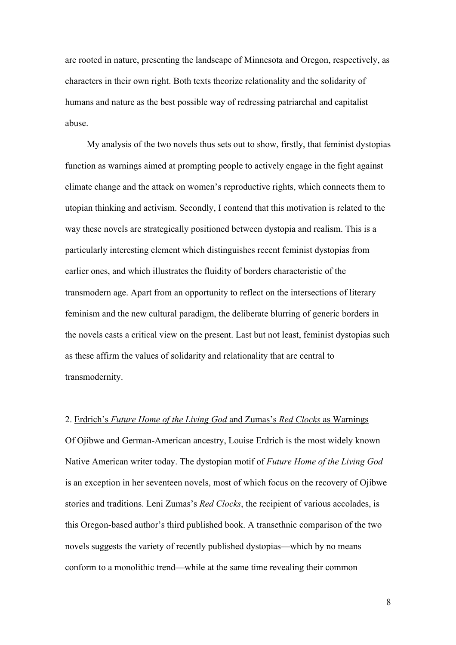are rooted in nature, presenting the landscape of Minnesota and Oregon, respectively, as characters in their own right. Both texts theorize relationality and the solidarity of humans and nature as the best possible way of redressing patriarchal and capitalist abuse.

My analysis of the two novels thus sets out to show, firstly, that feminist dystopias function as warnings aimed at prompting people to actively engage in the fight against climate change and the attack on women's reproductive rights, which connects them to utopian thinking and activism. Secondly, I contend that this motivation is related to the way these novels are strategically positioned between dystopia and realism. This is a particularly interesting element which distinguishes recent feminist dystopias from earlier ones, and which illustrates the fluidity of borders characteristic of the transmodern age. Apart from an opportunity to reflect on the intersections of literary feminism and the new cultural paradigm, the deliberate blurring of generic borders in the novels casts a critical view on the present. Last but not least, feminist dystopias such as these affirm the values of solidarity and relationality that are central to transmodernity.

#### 2. Erdrich's *Future Home of the Living God* and Zumas's *Red Clocks* as Warnings

Of Ojibwe and German-American ancestry, Louise Erdrich is the most widely known Native American writer today. The dystopian motif of *Future Home of the Living God* is an exception in her seventeen novels, most of which focus on the recovery of Ojibwe stories and traditions. Leni Zumas's *Red Clocks*, the recipient of various accolades, is this Oregon-based author's third published book. A transethnic comparison of the two novels suggests the variety of recently published dystopias—which by no means conform to a monolithic trend—while at the same time revealing their common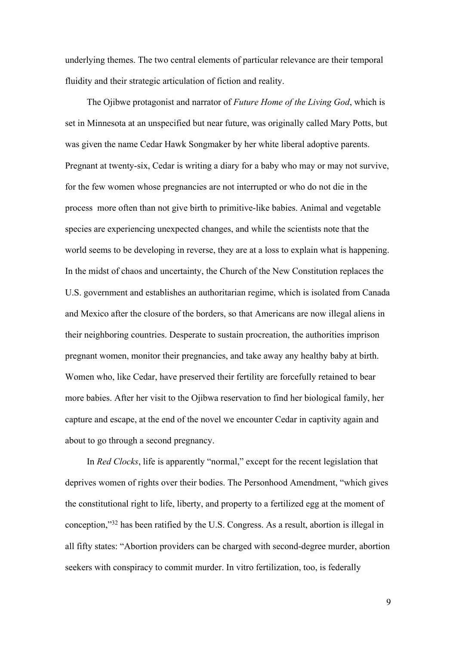underlying themes. The two central elements of particular relevance are their temporal fluidity and their strategic articulation of fiction and reality.

The Ojibwe protagonist and narrator of *Future Home of the Living God*, which is set in Minnesota at an unspecified but near future, was originally called Mary Potts, but was given the name Cedar Hawk Songmaker by her white liberal adoptive parents. Pregnant at twenty-six, Cedar is writing a diary for a baby who may or may not survive, for the few women whose pregnancies are not interrupted or who do not die in the process more often than not give birth to primitive-like babies. Animal and vegetable species are experiencing unexpected changes, and while the scientists note that the world seems to be developing in reverse, they are at a loss to explain what is happening. In the midst of chaos and uncertainty, the Church of the New Constitution replaces the U.S. government and establishes an authoritarian regime, which is isolated from Canada and Mexico after the closure of the borders, so that Americans are now illegal aliens in their neighboring countries. Desperate to sustain procreation, the authorities imprison pregnant women, monitor their pregnancies, and take away any healthy baby at birth. Women who, like Cedar, have preserved their fertility are forcefully retained to bear more babies. After her visit to the Ojibwa reservation to find her biological family, her capture and escape, at the end of the novel we encounter Cedar in captivity again and about to go through a second pregnancy.

In *Red Clocks*, life is apparently "normal," except for the recent legislation that deprives women of rights over their bodies. The Personhood Amendment, "which gives the constitutional right to life, liberty, and property to a fertilized egg at the moment of conception,"32 has been ratified by the U.S. Congress. As a result, abortion is illegal in all fifty states: "Abortion providers can be charged with second-degree murder, abortion seekers with conspiracy to commit murder. In vitro fertilization, too, is federally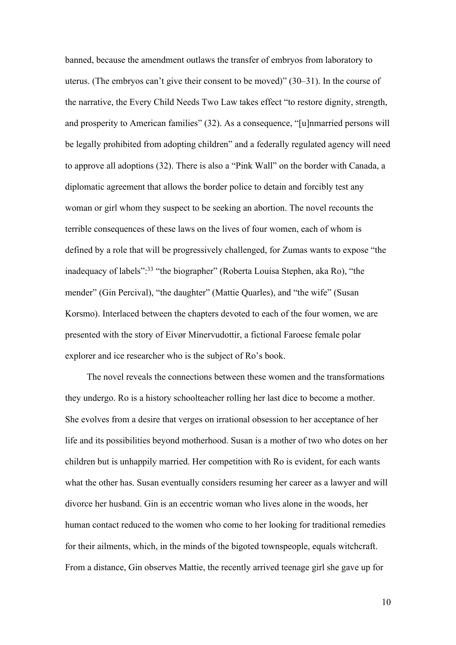banned, because the amendment outlaws the transfer of embryos from laboratory to uterus. (The embryos can't give their consent to be moved)" (30‒31). In the course of the narrative, the Every Child Needs Two Law takes effect "to restore dignity, strength, and prosperity to American families" (32). As a consequence, "[u]nmarried persons will be legally prohibited from adopting children" and a federally regulated agency will need to approve all adoptions (32). There is also a "Pink Wall" on the border with Canada, a diplomatic agreement that allows the border police to detain and forcibly test any woman or girl whom they suspect to be seeking an abortion. The novel recounts the terrible consequences of these laws on the lives of four women, each of whom is defined by a role that will be progressively challenged, for Zumas wants to expose "the inadequacy of labels":<sup>33</sup> "the biographer" (Roberta Louisa Stephen, aka Ro), "the mender" (Gin Percival), "the daughter" (Mattie Quarles), and "the wife" (Susan Korsmo). Interlaced between the chapters devoted to each of the four women, we are presented with the story of Eivør Mínervudottir, a fictional Faroese female polar explorer and ice researcher who is the subject of Ro's book.

The novel reveals the connections between these women and the transformations they undergo. Ro is a history schoolteacher rolling her last dice to become a mother. She evolves from a desire that verges on irrational obsession to her acceptance of her life and its possibilities beyond motherhood. Susan is a mother of two who dotes on her children but is unhappily married. Her competition with Ro is evident, for each wants what the other has. Susan eventually considers resuming her career as a lawyer and will divorce her husband. Gin is an eccentric woman who lives alone in the woods, her human contact reduced to the women who come to her looking for traditional remedies for their ailments, which, in the minds of the bigoted townspeople, equals witchcraft. From a distance, Gin observes Mattie, the recently arrived teenage girl she gave up for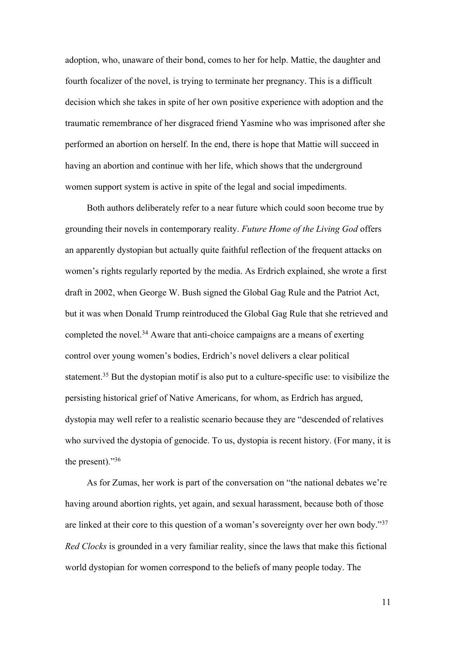adoption, who, unaware of their bond, comes to her for help. Mattie, the daughter and fourth focalizer of the novel, is trying to terminate her pregnancy. This is a difficult decision which she takes in spite of her own positive experience with adoption and the traumatic remembrance of her disgraced friend Yasmine who was imprisoned after she performed an abortion on herself. In the end, there is hope that Mattie will succeed in having an abortion and continue with her life, which shows that the underground women support system is active in spite of the legal and social impediments.

Both authors deliberately refer to a near future which could soon become true by grounding their novels in contemporary reality. *Future Home of the Living God* offers an apparently dystopian but actually quite faithful reflection of the frequent attacks on women's rights regularly reported by the media. As Erdrich explained, she wrote a first draft in 2002, when George W. Bush signed the Global Gag Rule and the Patriot Act, but it was when Donald Trump reintroduced the Global Gag Rule that she retrieved and completed the novel.<sup>34</sup> Aware that anti-choice campaigns are a means of exerting control over young women's bodies, Erdrich's novel delivers a clear political statement.<sup>35</sup> But the dystopian motif is also put to a culture-specific use: to visibilize the persisting historical grief of Native Americans, for whom, as Erdrich has argued, dystopia may well refer to a realistic scenario because they are "descended of relatives who survived the dystopia of genocide. To us, dystopia is recent history. (For many, it is the present). $\frac{36}{6}$ 

As for Zumas, her work is part of the conversation on "the national debates we're having around abortion rights, yet again, and sexual harassment, because both of those are linked at their core to this question of a woman's sovereignty over her own body."<sup>37</sup> *Red Clocks* is grounded in a very familiar reality, since the laws that make this fictional world dystopian for women correspond to the beliefs of many people today. The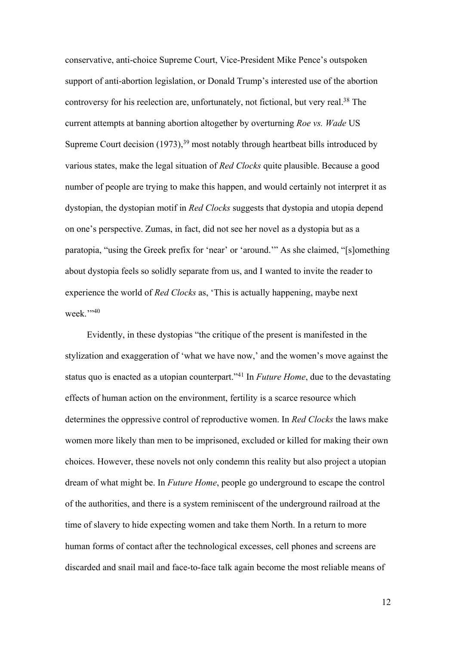conservative, anti-choice Supreme Court, Vice-President Mike Pence's outspoken support of anti-abortion legislation, or Donald Trump's interested use of the abortion controversy for his reelection are, unfortunately, not fictional, but very real. <sup>38</sup> The current attempts at banning abortion altogether by overturning *Roe vs. Wade* US Supreme Court decision  $(1973)$ ,<sup>39</sup> most notably through heartbeat bills introduced by various states, make the legal situation of *Red Clocks* quite plausible. Because a good number of people are trying to make this happen, and would certainly not interpret it as dystopian, the dystopian motif in *Red Clocks* suggests that dystopia and utopia depend on one's perspective. Zumas, in fact, did not see her novel as a dystopia but as a paratopia, "using the Greek prefix for 'near' or 'around.'" As she claimed, "[s]omething about dystopia feels so solidly separate from us, and I wanted to invite the reader to experience the world of *Red Clocks* as, 'This is actually happening, maybe next week."<sup>340</sup>

Evidently, in these dystopias "the critique of the present is manifested in the stylization and exaggeration of 'what we have now,' and the women's move against the status quo is enacted as a utopian counterpart."41 In *Future Home*, due to the devastating effects of human action on the environment, fertility is a scarce resource which determines the oppressive control of reproductive women. In *Red Clocks* the laws make women more likely than men to be imprisoned, excluded or killed for making their own choices. However, these novels not only condemn this reality but also project a utopian dream of what might be. In *Future Home*, people go underground to escape the control of the authorities, and there is a system reminiscent of the underground railroad at the time of slavery to hide expecting women and take them North. In a return to more human forms of contact after the technological excesses, cell phones and screens are discarded and snail mail and face-to-face talk again become the most reliable means of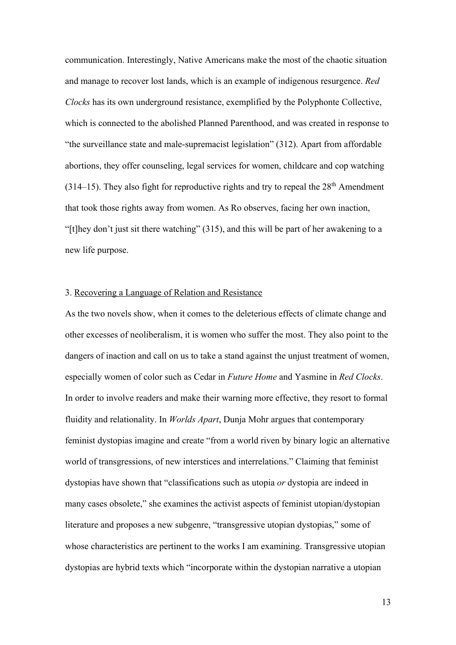communication. Interestingly, Native Americans make the most of the chaotic situation and manage to recover lost lands, which is an example of indigenous resurgence. *Red Clocks* has its own underground resistance, exemplified by the Polyphonte Collective, which is connected to the abolished Planned Parenthood, and was created in response to "the surveillance state and male-supremacist legislation" (312). Apart from affordable abortions, they offer counseling, legal services for women, childcare and cop watching  $(314–15)$ . They also fight for reproductive rights and try to repeal the  $28<sup>th</sup>$  Amendment that took those rights away from women. As Ro observes, facing her own inaction, "[t]hey don't just sit there watching" (315), and this will be part of her awakening to a new life purpose.

#### 3. Recovering a Language of Relation and Resistance

As the two novels show, when it comes to the deleterious effects of climate change and other excesses of neoliberalism, it is women who suffer the most. They also point to the dangers of inaction and call on us to take a stand against the unjust treatment of women, especially women of color such as Cedar in *Future Home* and Yasmine in *Red Clocks*. In order to involve readers and make their warning more effective, they resort to formal fluidity and relationality. In *Worlds Apart*, Dunja Mohr argues that contemporary feminist dystopias imagine and create "from a world riven by binary logic an alternative world of transgressions, of new interstices and interrelations." Claiming that feminist dystopias have shown that "classifications such as utopia *or* dystopia are indeed in many cases obsolete," she examines the activist aspects of feminist utopian/dystopian literature and proposes a new subgenre, "transgressive utopian dystopias," some of whose characteristics are pertinent to the works I am examining. Transgressive utopian dystopias are hybrid texts which "incorporate within the dystopian narrative a utopian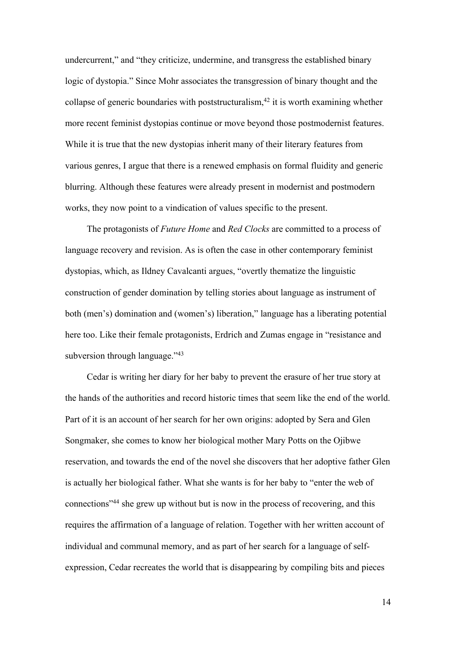undercurrent," and "they criticize, undermine, and transgress the established binary logic of dystopia." Since Mohr associates the transgression of binary thought and the collapse of generic boundaries with poststructuralism,  $42$  it is worth examining whether more recent feminist dystopias continue or move beyond those postmodernist features. While it is true that the new dystopias inherit many of their literary features from various genres, I argue that there is a renewed emphasis on formal fluidity and generic blurring. Although these features were already present in modernist and postmodern works, they now point to a vindication of values specific to the present.

The protagonists of *Future Home* and *Red Clocks* are committed to a process of language recovery and revision. As is often the case in other contemporary feminist dystopias, which, as Ildney Cavalcanti argues, "overtly thematize the linguistic construction of gender domination by telling stories about language as instrument of both (men's) domination and (women's) liberation," language has a liberating potential here too. Like their female protagonists, Erdrich and Zumas engage in "resistance and subversion through language."<sup>43</sup>

Cedar is writing her diary for her baby to prevent the erasure of her true story at the hands of the authorities and record historic times that seem like the end of the world. Part of it is an account of her search for her own origins: adopted by Sera and Glen Songmaker, she comes to know her biological mother Mary Potts on the Ojibwe reservation, and towards the end of the novel she discovers that her adoptive father Glen is actually her biological father. What she wants is for her baby to "enter the web of connections"44 she grew up without but is now in the process of recovering, and this requires the affirmation of a language of relation. Together with her written account of individual and communal memory, and as part of her search for a language of selfexpression, Cedar recreates the world that is disappearing by compiling bits and pieces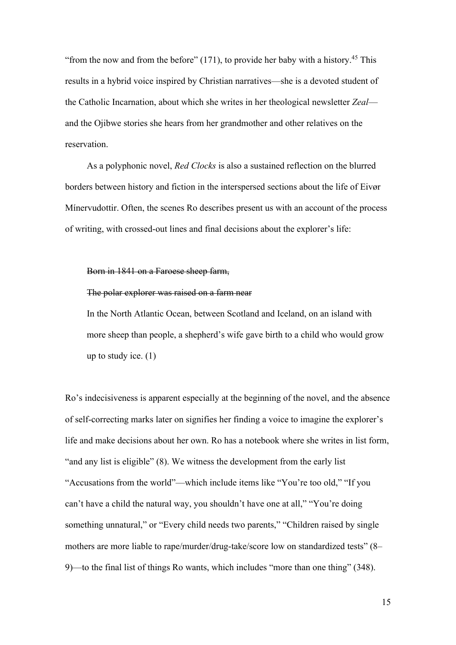"from the now and from the before"  $(171)$ , to provide her baby with a history.<sup>45</sup> This results in a hybrid voice inspired by Christian narratives—she is a devoted student of the Catholic Incarnation, about which she writes in her theological newsletter *Zeal* and the Ojibwe stories she hears from her grandmother and other relatives on the reservation.

As a polyphonic novel, *Red Clocks* is also a sustained reflection on the blurred borders between history and fiction in the interspersed sections about the life of Eivør Mínervudottir. Often, the scenes Ro describes present us with an account of the process of writing, with crossed-out lines and final decisions about the explorer's life:

#### Born in 1841 on a Faroese sheep farm,

#### The polar explorer was raised on a farm near

In the North Atlantic Ocean, between Scotland and Iceland, on an island with more sheep than people, a shepherd's wife gave birth to a child who would grow up to study ice.  $(1)$ 

Ro's indecisiveness is apparent especially at the beginning of the novel, and the absence of self-correcting marks later on signifies her finding a voice to imagine the explorer's life and make decisions about her own. Ro has a notebook where she writes in list form, "and any list is eligible" (8). We witness the development from the early list "Accusations from the world"—which include items like "You're too old," "If you can't have a child the natural way, you shouldn't have one at all," "You're doing something unnatural," or "Every child needs two parents," "Children raised by single mothers are more liable to rape/murder/drug-take/score low on standardized tests" (8– 9)—to the final list of things Ro wants, which includes "more than one thing" (348).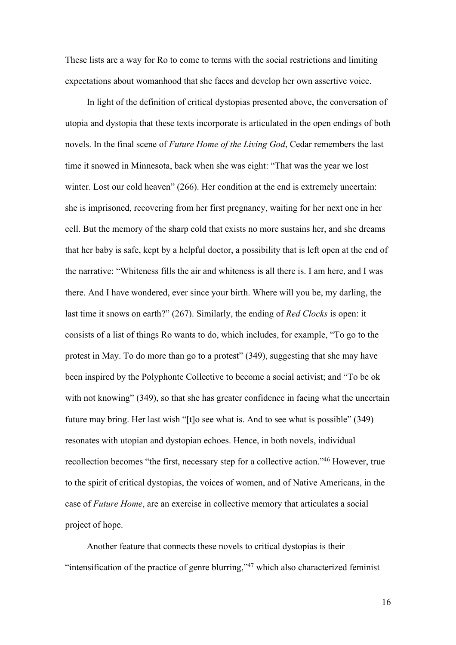These lists are a way for Ro to come to terms with the social restrictions and limiting expectations about womanhood that she faces and develop her own assertive voice.

In light of the definition of critical dystopias presented above, the conversation of utopia and dystopia that these texts incorporate is articulated in the open endings of both novels. In the final scene of *Future Home of the Living God*, Cedar remembers the last time it snowed in Minnesota, back when she was eight: "That was the year we lost winter. Lost our cold heaven" (266). Her condition at the end is extremely uncertain: she is imprisoned, recovering from her first pregnancy, waiting for her next one in her cell. But the memory of the sharp cold that exists no more sustains her, and she dreams that her baby is safe, kept by a helpful doctor, a possibility that is left open at the end of the narrative: "Whiteness fills the air and whiteness is all there is. I am here, and I was there. And I have wondered, ever since your birth. Where will you be, my darling, the last time it snows on earth?" (267). Similarly, the ending of *Red Clocks* is open: it consists of a list of things Ro wants to do, which includes, for example, "To go to the protest in May. To do more than go to a protest" (349), suggesting that she may have been inspired by the Polyphonte Collective to become a social activist; and "To be ok with not knowing" (349), so that she has greater confidence in facing what the uncertain future may bring. Her last wish "[t]o see what is. And to see what is possible" (349) resonates with utopian and dystopian echoes. Hence, in both novels, individual recollection becomes "the first, necessary step for a collective action."46 However, true to the spirit of critical dystopias, the voices of women, and of Native Americans, in the case of *Future Home*, are an exercise in collective memory that articulates a social project of hope.

Another feature that connects these novels to critical dystopias is their "intensification of the practice of genre blurring," $47$  which also characterized feminist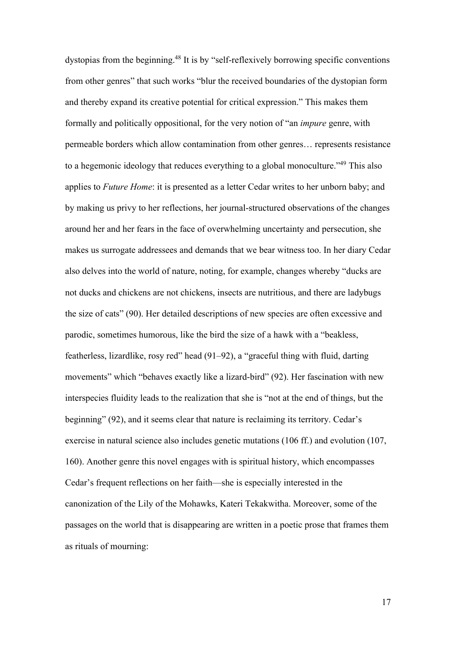dystopias from the beginning.<sup>48</sup> It is by "self-reflexively borrowing specific conventions from other genres" that such works "blur the received boundaries of the dystopian form and thereby expand its creative potential for critical expression." This makes them formally and politically oppositional, for the very notion of "an *impure* genre, with permeable borders which allow contamination from other genres… represents resistance to a hegemonic ideology that reduces everything to a global monoculture.<sup>149</sup> This also applies to *Future Home*: it is presented as a letter Cedar writes to her unborn baby; and by making us privy to her reflections, her journal-structured observations of the changes around her and her fears in the face of overwhelming uncertainty and persecution, she makes us surrogate addressees and demands that we bear witness too. In her diary Cedar also delves into the world of nature, noting, for example, changes whereby "ducks are not ducks and chickens are not chickens, insects are nutritious, and there are ladybugs the size of cats" (90). Her detailed descriptions of new species are often excessive and parodic, sometimes humorous, like the bird the size of a hawk with a "beakless, featherless, lizardlike, rosy red" head (91‒92), a "graceful thing with fluid, darting movements" which "behaves exactly like a lizard-bird" (92). Her fascination with new interspecies fluidity leads to the realization that she is "not at the end of things, but the beginning" (92), and it seems clear that nature is reclaiming its territory. Cedar's exercise in natural science also includes genetic mutations (106 ff.) and evolution (107, 160). Another genre this novel engages with is spiritual history, which encompasses Cedar's frequent reflections on her faith—she is especially interested in the canonization of the Lily of the Mohawks, Kateri Tekakwitha. Moreover, some of the passages on the world that is disappearing are written in a poetic prose that frames them as rituals of mourning: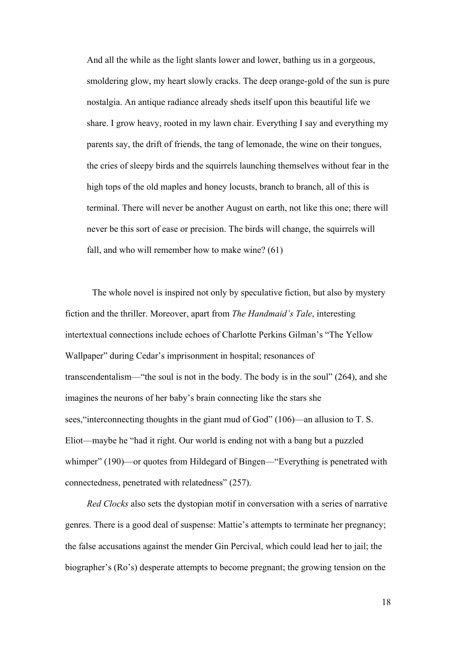And all the while as the light slants lower and lower, bathing us in a gorgeous, smoldering glow, my heart slowly cracks. The deep orange-gold of the sun is pure nostalgia. An antique radiance already sheds itself upon this beautiful life we share. I grow heavy, rooted in my lawn chair. Everything I say and everything my parents say, the drift of friends, the tang of lemonade, the wine on their tongues, the cries of sleepy birds and the squirrels launching themselves without fear in the high tops of the old maples and honey locusts, branch to branch, all of this is terminal. There will never be another August on earth, not like this one; there will never be this sort of ease or precision. The birds will change, the squirrels will fall, and who will remember how to make wine? (61)

The whole novel is inspired not only by speculative fiction, but also by mystery fiction and the thriller. Moreover, apart from *The Handmaid's Tale*, interesting intertextual connections include echoes of Charlotte Perkins Gilman's "The Yellow Wallpaper" during Cedar's imprisonment in hospital; resonances of transcendentalism—"the soul is not in the body. The body is in the soul" (264), and she imagines the neurons of her baby's brain connecting like the stars she sees,"interconnecting thoughts in the giant mud of God" (106)—an allusion to T. S. Eliot—maybe he "had it right. Our world is ending not with a bang but a puzzled whimper" (190)—or quotes from Hildegard of Bingen—"Everything is penetrated with connectedness, penetrated with relatedness" (257).

*Red Clocks* also sets the dystopian motif in conversation with a series of narrative genres. There is a good deal of suspense: Mattie's attempts to terminate her pregnancy; the false accusations against the mender Gin Percival, which could lead her to jail; the biographer's (Ro's) desperate attempts to become pregnant; the growing tension on the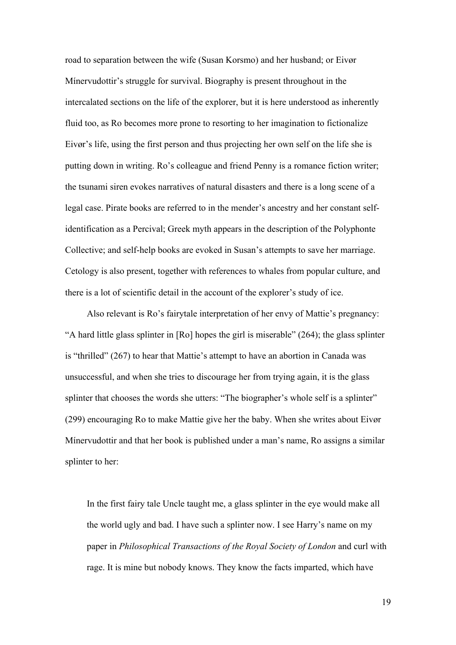road to separation between the wife (Susan Korsmo) and her husband; or Eivør Mínervudottir's struggle for survival. Biography is present throughout in the intercalated sections on the life of the explorer, but it is here understood as inherently fluid too, as Ro becomes more prone to resorting to her imagination to fictionalize Eivør's life, using the first person and thus projecting her own self on the life she is putting down in writing. Ro's colleague and friend Penny is a romance fiction writer; the tsunami siren evokes narratives of natural disasters and there is a long scene of a legal case. Pirate books are referred to in the mender's ancestry and her constant selfidentification as a Percival; Greek myth appears in the description of the Polyphonte Collective; and self-help books are evoked in Susan's attempts to save her marriage. Cetology is also present, together with references to whales from popular culture, and there is a lot of scientific detail in the account of the explorer's study of ice.

Also relevant is Ro's fairytale interpretation of her envy of Mattie's pregnancy: "A hard little glass splinter in [Ro] hopes the girl is miserable" (264); the glass splinter is "thrilled" (267) to hear that Mattie's attempt to have an abortion in Canada was unsuccessful, and when she tries to discourage her from trying again, it is the glass splinter that chooses the words she utters: "The biographer's whole self is a splinter" (299) encouraging Ro to make Mattie give her the baby. When she writes about Eivør Mínervudottir and that her book is published under a man's name, Ro assigns a similar splinter to her:

In the first fairy tale Uncle taught me, a glass splinter in the eye would make all the world ugly and bad. I have such a splinter now. I see Harry's name on my paper in *Philosophical Transactions of the Royal Society of London* and curl with rage. It is mine but nobody knows. They know the facts imparted, which have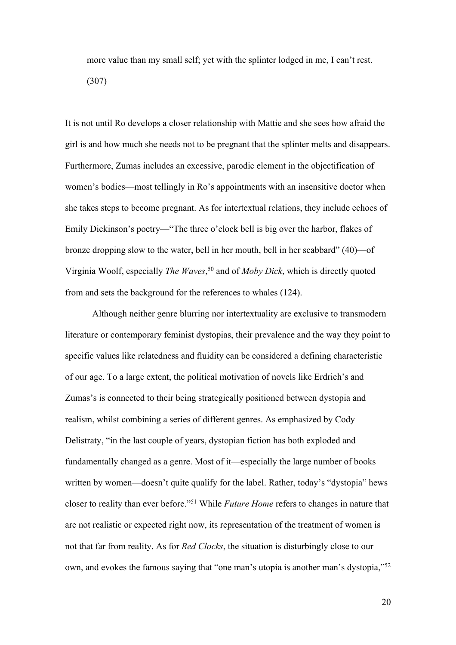more value than my small self; yet with the splinter lodged in me, I can't rest. (307)

It is not until Ro develops a closer relationship with Mattie and she sees how afraid the girl is and how much she needs not to be pregnant that the splinter melts and disappears. Furthermore, Zumas includes an excessive, parodic element in the objectification of women's bodies—most tellingly in Ro's appointments with an insensitive doctor when she takes steps to become pregnant. As for intertextual relations, they include echoes of Emily Dickinson's poetry—"The three o'clock bell is big over the harbor, flakes of bronze dropping slow to the water, bell in her mouth, bell in her scabbard" (40)—of Virginia Woolf, especially *The Waves*, <sup>50</sup> and of *Moby Dick*, which is directly quoted from and sets the background for the references to whales (124).

Although neither genre blurring nor intertextuality are exclusive to transmodern literature or contemporary feminist dystopias, their prevalence and the way they point to specific values like relatedness and fluidity can be considered a defining characteristic of our age. To a large extent, the political motivation of novels like Erdrich's and Zumas's is connected to their being strategically positioned between dystopia and realism, whilst combining a series of different genres. As emphasized by Cody Delistraty, "in the last couple of years, dystopian fiction has both exploded and fundamentally changed as a genre. Most of it—especially the large number of books written by women—doesn't quite qualify for the label. Rather, today's "dystopia" hews closer to reality than ever before."51 While *Future Home* refers to changes in nature that are not realistic or expected right now, its representation of the treatment of women is not that far from reality. As for *Red Clocks*, the situation is disturbingly close to our own, and evokes the famous saying that "one man's utopia is another man's dystopia,"<sup>52</sup>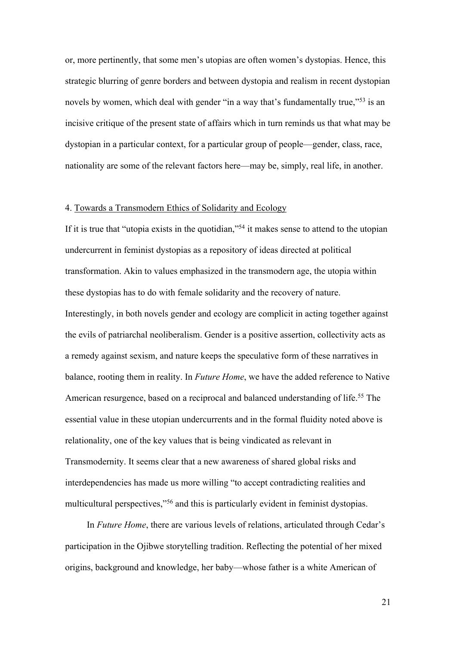or, more pertinently, that some men's utopias are often women's dystopias. Hence, this strategic blurring of genre borders and between dystopia and realism in recent dystopian novels by women, which deal with gender "in a way that's fundamentally true,"<sup>53</sup> is an incisive critique of the present state of affairs which in turn reminds us that what may be dystopian in a particular context, for a particular group of people—gender, class, race, nationality are some of the relevant factors here—may be, simply, real life, in another.

#### 4. Towards a Transmodern Ethics of Solidarity and Ecology

If it is true that "utopia exists in the quotidian,"<sup>54</sup> it makes sense to attend to the utopian undercurrent in feminist dystopias as a repository of ideas directed at political transformation. Akin to values emphasized in the transmodern age, the utopia within these dystopias has to do with female solidarity and the recovery of nature. Interestingly, in both novels gender and ecology are complicit in acting together against the evils of patriarchal neoliberalism. Gender is a positive assertion, collectivity acts as a remedy against sexism, and nature keeps the speculative form of these narratives in balance, rooting them in reality. In *Future Home*, we have the added reference to Native American resurgence, based on a reciprocal and balanced understanding of life.<sup>55</sup> The essential value in these utopian undercurrents and in the formal fluidity noted above is relationality, one of the key values that is being vindicated as relevant in Transmodernity. It seems clear that a new awareness of shared global risks and interdependencies has made us more willing "to accept contradicting realities and multicultural perspectives,"56 and this is particularly evident in feminist dystopias.

In *Future Home*, there are various levels of relations, articulated through Cedar's participation in the Ojibwe storytelling tradition. Reflecting the potential of her mixed origins, background and knowledge, her baby—whose father is a white American of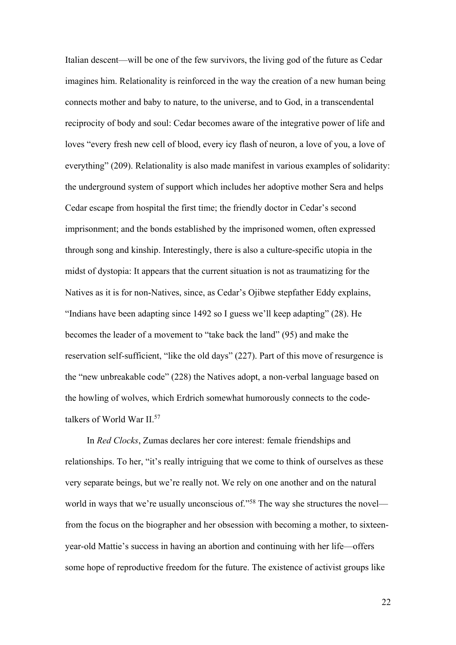Italian descent—will be one of the few survivors, the living god of the future as Cedar imagines him. Relationality is reinforced in the way the creation of a new human being connects mother and baby to nature, to the universe, and to God, in a transcendental reciprocity of body and soul: Cedar becomes aware of the integrative power of life and loves "every fresh new cell of blood, every icy flash of neuron, a love of you, a love of everything" (209). Relationality is also made manifest in various examples of solidarity: the underground system of support which includes her adoptive mother Sera and helps Cedar escape from hospital the first time; the friendly doctor in Cedar's second imprisonment; and the bonds established by the imprisoned women, often expressed through song and kinship. Interestingly, there is also a culture-specific utopia in the midst of dystopia: It appears that the current situation is not as traumatizing for the Natives as it is for non-Natives, since, as Cedar's Ojibwe stepfather Eddy explains, "Indians have been adapting since 1492 so I guess we'll keep adapting" (28). He becomes the leader of a movement to "take back the land" (95) and make the reservation self-sufficient, "like the old days" (227). Part of this move of resurgence is the "new unbreakable code" (228) the Natives adopt, a non-verbal language based on the howling of wolves, which Erdrich somewhat humorously connects to the codetalkers of World War II. 57

In *Red Clocks*, Zumas declares her core interest: female friendships and relationships. To her, "it's really intriguing that we come to think of ourselves as these very separate beings, but we're really not. We rely on one another and on the natural world in ways that we're usually unconscious of."<sup>58</sup> The way she structures the novel from the focus on the biographer and her obsession with becoming a mother, to sixteenyear-old Mattie's success in having an abortion and continuing with her life—offers some hope of reproductive freedom for the future. The existence of activist groups like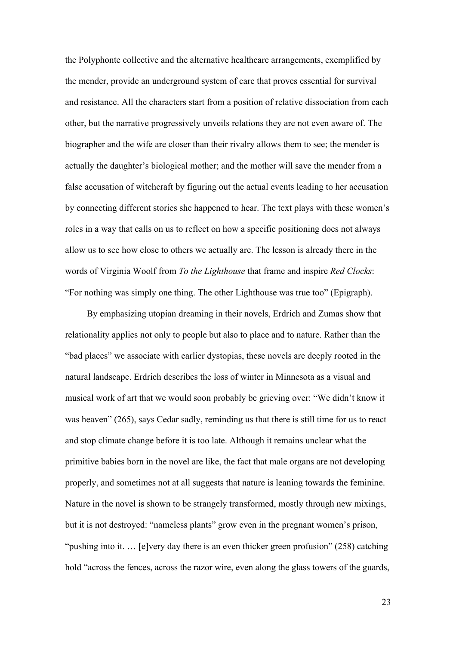the Polyphonte collective and the alternative healthcare arrangements, exemplified by the mender, provide an underground system of care that proves essential for survival and resistance. All the characters start from a position of relative dissociation from each other, but the narrative progressively unveils relations they are not even aware of. The biographer and the wife are closer than their rivalry allows them to see; the mender is actually the daughter's biological mother; and the mother will save the mender from a false accusation of witchcraft by figuring out the actual events leading to her accusation by connecting different stories she happened to hear. The text plays with these women's roles in a way that calls on us to reflect on how a specific positioning does not always allow us to see how close to others we actually are. The lesson is already there in the words of Virginia Woolf from *To the Lighthouse* that frame and inspire *Red Clocks*: "For nothing was simply one thing. The other Lighthouse was true too" (Epigraph).

By emphasizing utopian dreaming in their novels, Erdrich and Zumas show that relationality applies not only to people but also to place and to nature. Rather than the "bad places" we associate with earlier dystopias, these novels are deeply rooted in the natural landscape. Erdrich describes the loss of winter in Minnesota as a visual and musical work of art that we would soon probably be grieving over: "We didn't know it was heaven" (265), says Cedar sadly, reminding us that there is still time for us to react and stop climate change before it is too late. Although it remains unclear what the primitive babies born in the novel are like, the fact that male organs are not developing properly, and sometimes not at all suggests that nature is leaning towards the feminine. Nature in the novel is shown to be strangely transformed, mostly through new mixings, but it is not destroyed: "nameless plants" grow even in the pregnant women's prison, "pushing into it. ... [e]very day there is an even thicker green profusion" (258) catching hold "across the fences, across the razor wire, even along the glass towers of the guards,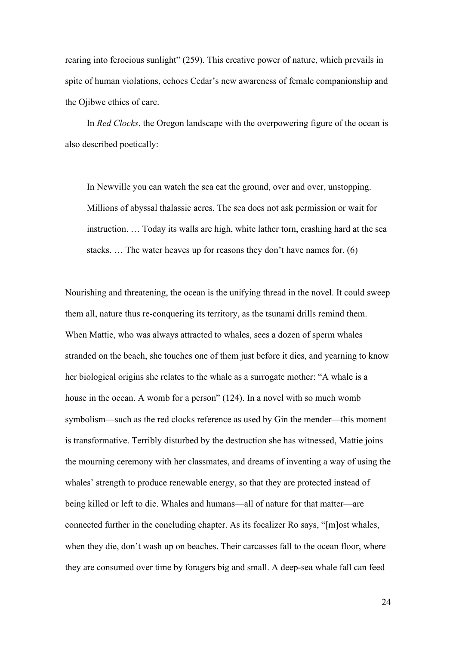rearing into ferocious sunlight" (259). This creative power of nature, which prevails in spite of human violations, echoes Cedar's new awareness of female companionship and the Ojibwe ethics of care.

In *Red Clocks*, the Oregon landscape with the overpowering figure of the ocean is also described poetically:

In Newville you can watch the sea eat the ground, over and over, unstopping. Millions of abyssal thalassic acres. The sea does not ask permission or wait for instruction. … Today its walls are high, white lather torn, crashing hard at the sea stacks. … The water heaves up for reasons they don't have names for. (6)

Nourishing and threatening, the ocean is the unifying thread in the novel. It could sweep them all, nature thus re-conquering its territory, as the tsunami drills remind them. When Mattie, who was always attracted to whales, sees a dozen of sperm whales stranded on the beach, she touches one of them just before it dies, and yearning to know her biological origins she relates to the whale as a surrogate mother: "A whale is a house in the ocean. A womb for a person" (124). In a novel with so much womb symbolism—such as the red clocks reference as used by Gin the mender—this moment is transformative. Terribly disturbed by the destruction she has witnessed, Mattie joins the mourning ceremony with her classmates, and dreams of inventing a way of using the whales' strength to produce renewable energy, so that they are protected instead of being killed or left to die. Whales and humans—all of nature for that matter—are connected further in the concluding chapter. As its focalizer Ro says, "[m]ost whales, when they die, don't wash up on beaches. Their carcasses fall to the ocean floor, where they are consumed over time by foragers big and small. A deep-sea whale fall can feed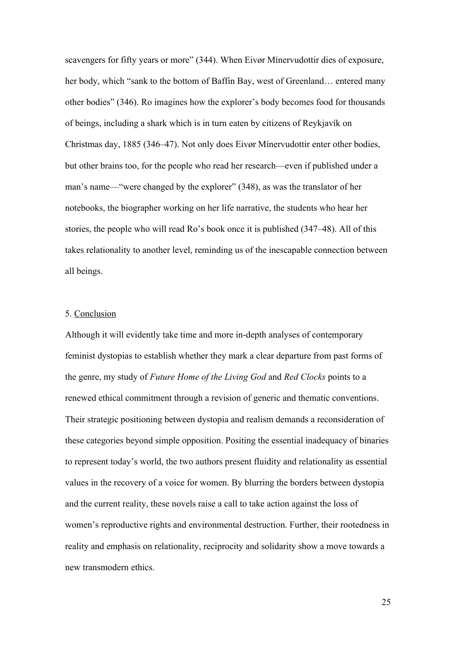scavengers for fifty years or more" (344). When Eivør Mínervudottir dies of exposure, her body, which "sank to the bottom of Baffin Bay, west of Greenland… entered many other bodies" (346). Ro imagines how the explorer's body becomes food for thousands of beings, including a shark which is in turn eaten by citizens of Reykjavík on Christmas day, 1885 (346–47). Not only does Eivør Mínervudottir enter other bodies, but other brains too, for the people who read her research—even if published under a man's name—"were changed by the explorer" (348), as was the translator of her notebooks, the biographer working on her life narrative, the students who hear her stories, the people who will read Ro's book once it is published (347–48). All of this takes relationality to another level, reminding us of the inescapable connection between all beings.

## 5. Conclusion

Although it will evidently take time and more in-depth analyses of contemporary feminist dystopias to establish whether they mark a clear departure from past forms of the genre, my study of *Future Home of the Living God* and *Red Clocks* points to a renewed ethical commitment through a revision of generic and thematic conventions. Their strategic positioning between dystopia and realism demands a reconsideration of these categories beyond simple opposition. Positing the essential inadequacy of binaries to represent today's world, the two authors present fluidity and relationality as essential values in the recovery of a voice for women. By blurring the borders between dystopia and the current reality, these novels raise a call to take action against the loss of women's reproductive rights and environmental destruction. Further, their rootedness in reality and emphasis on relationality, reciprocity and solidarity show a move towards a new transmodern ethics.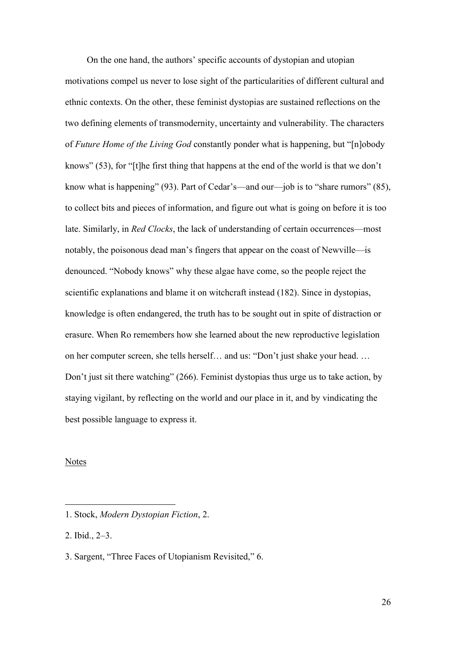On the one hand, the authors' specific accounts of dystopian and utopian motivations compel us never to lose sight of the particularities of different cultural and ethnic contexts. On the other, these feminist dystopias are sustained reflections on the two defining elements of transmodernity, uncertainty and vulnerability. The characters of *Future Home of the Living God* constantly ponder what is happening, but "[n]obody knows" (53), for "[t]he first thing that happens at the end of the world is that we don't know what is happening" (93). Part of Cedar's—and our—job is to "share rumors" (85), to collect bits and pieces of information, and figure out what is going on before it is too late. Similarly, in *Red Clocks*, the lack of understanding of certain occurrences—most notably, the poisonous dead man's fingers that appear on the coast of Newville—is denounced. "Nobody knows" why these algae have come, so the people reject the scientific explanations and blame it on witchcraft instead (182). Since in dystopias, knowledge is often endangered, the truth has to be sought out in spite of distraction or erasure. When Ro remembers how she learned about the new reproductive legislation on her computer screen, she tells herself… and us: "Don't just shake your head. … Don't just sit there watching" (266). Feminist dystopias thus urge us to take action, by staying vigilant, by reflecting on the world and our place in it, and by vindicating the best possible language to express it.

#### Notes

<sup>1.</sup> Stock, *Modern Dystopian Fiction*, 2.

<sup>2.</sup> Ibid., 2‒3.

<sup>3.</sup> Sargent, "Three Faces of Utopianism Revisited," 6.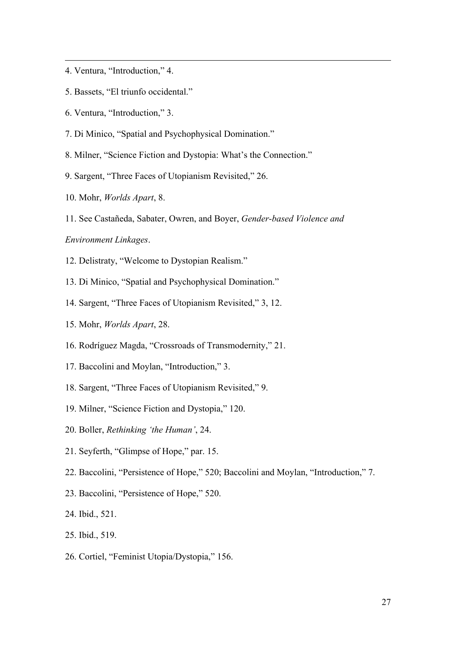- 4. Ventura, "Introduction," 4.
- 5. Bassets, "El triunfo occidental."
- 6. Ventura, "Introduction," 3.
- 7. Di Minico, "Spatial and Psychophysical Domination."
- 8. Milner, "Science Fiction and Dystopia: What's the Connection."
- 9. Sargent, "Three Faces of Utopianism Revisited," 26.
- 10. Mohr, *Worlds Apart*, 8.
- 11. See Castañeda, Sabater, Owren, and Boyer, *Gender-based Violence and*

## *Environment Linkages*.

- 12. Delistraty, "Welcome to Dystopian Realism."
- 13. Di Minico, "Spatial and Psychophysical Domination."
- 14. Sargent, "Three Faces of Utopianism Revisited," 3, 12.
- 15. Mohr, *Worlds Apart*, 28.
- 16. Rodríguez Magda, "Crossroads of Transmodernity," 21.
- 17. Baccolini and Moylan, "Introduction," 3.
- 18. Sargent, "Three Faces of Utopianism Revisited," 9.
- 19. Milner, "Science Fiction and Dystopia," 120.
- 20. Boller, *Rethinking 'the Human'*, 24.
- 21. Seyferth, "Glimpse of Hope," par. 15.
- 22. Baccolini, "Persistence of Hope," 520; Baccolini and Moylan, "Introduction," 7.
- 23. Baccolini, "Persistence of Hope," 520.
- 24. Ibid., 521.
- 25. Ibid., 519.
- 26. Cortiel, "Feminist Utopia/Dystopia," 156.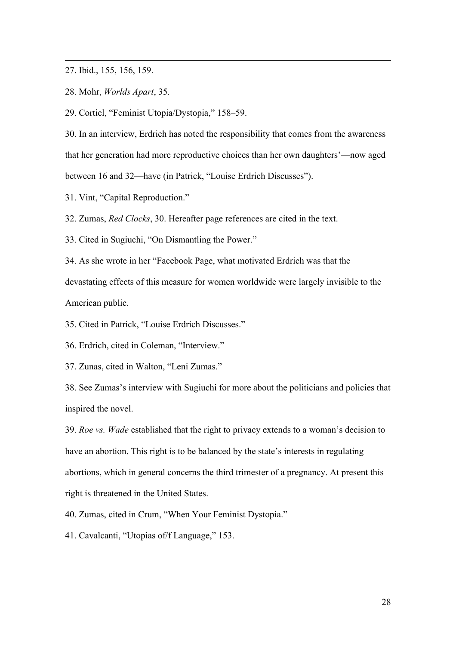27. Ibid., 155, 156, 159.

28. Mohr, *Worlds Apart*, 35.

29. Cortiel, "Feminist Utopia/Dystopia," 158–59.

30. In an interview, Erdrich has noted the responsibility that comes from the awareness that her generation had more reproductive choices than her own daughters'—now aged between 16 and 32—have (in Patrick, "Louise Erdrich Discusses").

31. Vint, "Capital Reproduction."

32. Zumas, *Red Clocks*, 30. Hereafter page references are cited in the text.

33. Cited in Sugiuchi, "On Dismantling the Power."

34. As she wrote in her "Facebook Page, what motivated Erdrich was that the devastating effects of this measure for women worldwide were largely invisible to the American public.

35. Cited in Patrick, "Louise Erdrich Discusses."

36. Erdrich, cited in Coleman, "Interview."

37. Zunas, cited in Walton, "Leni Zumas."

38. See Zumas's interview with Sugiuchi for more about the politicians and policies that inspired the novel.

39. *Roe vs. Wade* established that the right to privacy extends to a woman's decision to have an abortion. This right is to be balanced by the state's interests in regulating abortions, which in general concerns the third trimester of a pregnancy. At present this right is threatened in the United States.

40. Zumas, cited in Crum, "When Your Feminist Dystopia."

41. Cavalcanti, "Utopias of/f Language," 153.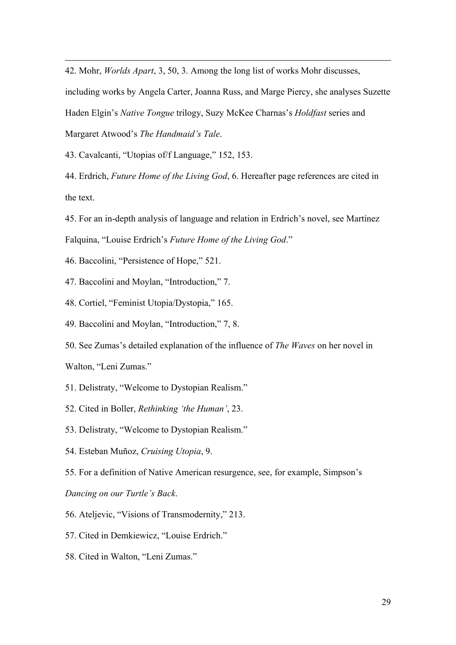42. Mohr, *Worlds Apart*, 3, 50, 3. Among the long list of works Mohr discusses,

including works by Angela Carter, Joanna Russ, and Marge Piercy, she analyses Suzette

Haden Elgin's *Native Tongue* trilogy, Suzy McKee Charnas's *Holdfast* series and

Margaret Atwood's *The Handmaid's Tale*.

43. Cavalcanti, "Utopias of/f Language," 152, 153.

44. Erdrich, *Future Home of the Living God*, 6. Hereafter page references are cited in the text.

45. For an in-depth analysis of language and relation in Erdrich's novel, see Martínez Falquina, "Louise Erdrich's *Future Home of the Living God*."

46. Baccolini, "Persistence of Hope," 521.

47. Baccolini and Moylan, "Introduction," 7.

48. Cortiel, "Feminist Utopia/Dystopia," 165.

49. Baccolini and Moylan, "Introduction," 7, 8.

50. See Zumas's detailed explanation of the influence of *The Waves* on her novel in Walton, "Leni Zumas."

51. Delistraty, "Welcome to Dystopian Realism."

52. Cited in Boller, *Rethinking 'the Human'*, 23.

53. Delistraty, "Welcome to Dystopian Realism."

54. Esteban Muñoz, *Cruising Utopia*, 9.

55. For a definition of Native American resurgence, see, for example, Simpson's *Dancing on our Turtle's Back*.

56. Ateljevic, "Visions of Transmodernity," 213.

57. Cited in Demkiewicz, "Louise Erdrich."

58. Cited in Walton, "Leni Zumas."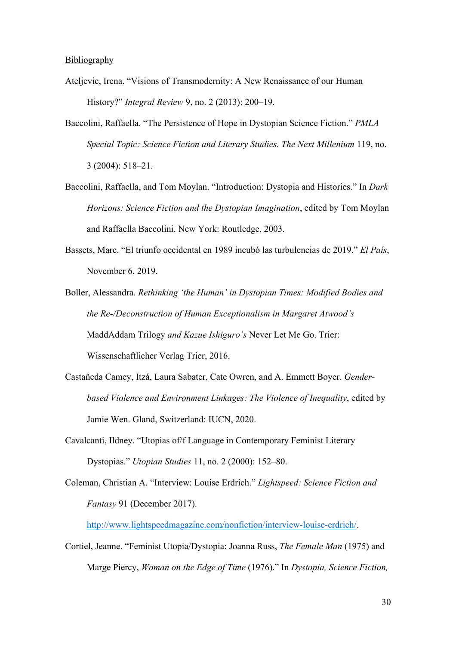#### Bibliography

- Ateljevic, Irena. "Visions of Transmodernity: A New Renaissance of our Human History?" *Integral Review* 9, no. 2 (2013): 200–19.
- Baccolini, Raffaella. "The Persistence of Hope in Dystopian Science Fiction." *PMLA Special Topic: Science Fiction and Literary Studies. The Next Millenium* 119, no. 3 (2004): 518‒21.
- Baccolini, Raffaella, and Tom Moylan. "Introduction: Dystopia and Histories." In *Dark Horizons: Science Fiction and the Dystopian Imagination*, edited by Tom Moylan and Raffaella Baccolini. New York: Routledge, 2003.
- Bassets, Marc. "El triunfo occidental en 1989 incubó las turbulencias de 2019." *El País*, November 6, 2019.
- Boller, Alessandra. *Rethinking 'the Human' in Dystopian Times: Modified Bodies and the Re-/Deconstruction of Human Exceptionalism in Margaret Atwood's*  MaddAddam Trilogy *and Kazue Ishiguro's* Never Let Me Go. Trier: Wissenschaftlicher Verlag Trier, 2016.
- Castañeda Camey, Itzá, Laura Sabater, Cate Owren, and A. Emmett Boyer. *Genderbased Violence and Environment Linkages: The Violence of Inequality*, edited by Jamie Wen. Gland, Switzerland: IUCN, 2020.
- Cavalcanti, Ildney. "Utopias of/f Language in Contemporary Feminist Literary Dystopias." *Utopian Studies* 11, no. 2 (2000): 152‒80.
- Coleman, Christian A. "Interview: Louise Erdrich." *Lightspeed: Science Fiction and Fantasy* 91 (December 2017).

http://www.lightspeedmagazine.com/nonfiction/interview-louise-erdrich/.

Cortiel, Jeanne. "Feminist Utopia/Dystopia: Joanna Russ, *The Female Man* (1975) and Marge Piercy, *Woman on the Edge of Time* (1976)." In *Dystopia, Science Fiction,*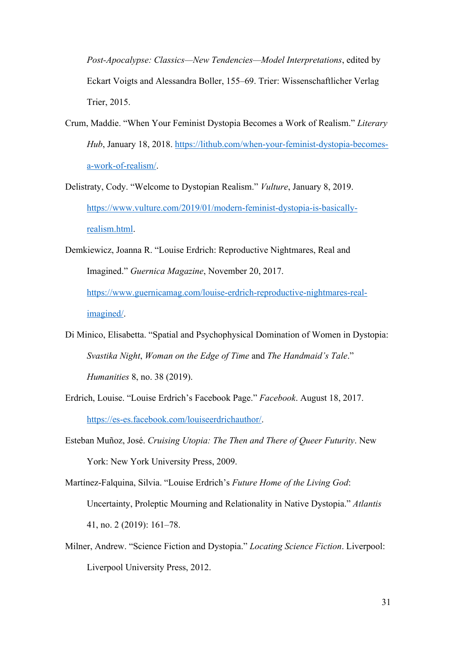*Post-Apocalypse: Classics—New Tendencies—Model Interpretations*, edited by Eckart Voigts and Alessandra Boller, 155‒69. Trier: Wissenschaftlicher Verlag Trier, 2015.

- Crum, Maddie. "When Your Feminist Dystopia Becomes a Work of Realism." *Literary Hub*, January 18, 2018. https://lithub.com/when-your-feminist-dystopia-becomesa-work-of-realism/.
- Delistraty, Cody. "Welcome to Dystopian Realism." *Vulture*, January 8, 2019. https://www.vulture.com/2019/01/modern-feminist-dystopia-is-basicallyrealism.html.
- Demkiewicz, Joanna R. "Louise Erdrich: Reproductive Nightmares, Real and Imagined." *Guernica Magazine*, November 20, 2017. https://www.guernicamag.com/louise-erdrich-reproductive-nightmares-realimagined/.
- Di Minico, Elisabetta. "Spatial and Psychophysical Domination of Women in Dystopia: *Svastika Night*, *Woman on the Edge of Time* and *The Handmaid's Tale*." *Humanities* 8, no. 38 (2019).
- Erdrich, Louise. "Louise Erdrich's Facebook Page." *Facebook*. August 18, 2017. https://es-es.facebook.com/louiseerdrichauthor/.
- Esteban Muñoz, José. *Cruising Utopia: The Then and There of Queer Futurity*. New York: New York University Press, 2009.
- Martínez-Falquina, Silvia. "Louise Erdrich's *Future Home of the Living God*: Uncertainty, Proleptic Mourning and Relationality in Native Dystopia." *Atlantis* 41, no. 2 (2019): 161‒78.
- Milner, Andrew. "Science Fiction and Dystopia." *Locating Science Fiction*. Liverpool: Liverpool University Press, 2012.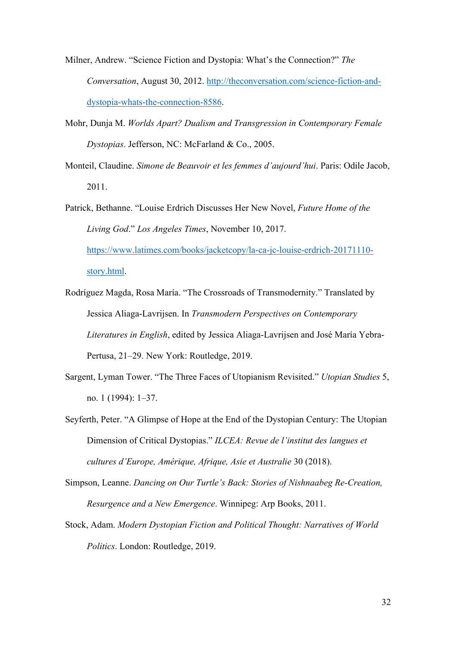- Milner, Andrew. "Science Fiction and Dystopia: What's the Connection?" *The Conversation*, August 30, 2012. http://theconversation.com/science-fiction-anddystopia-whats-the-connection-8586.
- Mohr, Dunja M. *Worlds Apart? Dualism and Transgression in Contemporary Female Dystopias*. Jefferson, NC: McFarland & Co., 2005.
- Monteil, Claudine. *Simone de Beauvoir et les femmes d'aujourd'hui*. Paris: Odile Jacob, 2011.
- Patrick, Bethanne. "Louise Erdrich Discusses Her New Novel, *Future Home of the Living God*." *Los Angeles Times*, November 10, 2017. https://www.latimes.com/books/jacketcopy/la-ca-jc-louise-erdrich-20171110 story.html.
- Rodríguez Magda, Rosa María. "The Crossroads of Transmodernity." Translated by Jessica Aliaga-Lavrijsen. In *Transmodern Perspectives on Contemporary Literatures in English*, edited by Jessica Aliaga-Lavrijsen and José María Yebra-Pertusa, 21–29. New York: Routledge, 2019.
- Sargent, Lyman Tower. "The Three Faces of Utopianism Revisited." *Utopian Studies* 5, no. 1 (1994): 1‒37.
- Seyferth, Peter. "A Glimpse of Hope at the End of the Dystopian Century: The Utopian Dimension of Critical Dystopias." *ILCEA: Revue de l'institut des langues et cultures d'Europe, Amérique, Afrique, Asie et Australie* 30 (2018).
- Simpson, Leanne. *Dancing on Our Turtle's Back: Stories of Nishnaabeg Re-Creation, Resurgence and a New Emergence*. Winnipeg: Arp Books, 2011.
- Stock, Adam. *Modern Dystopian Fiction and Political Thought: Narratives of World Politics*. London: Routledge, 2019.